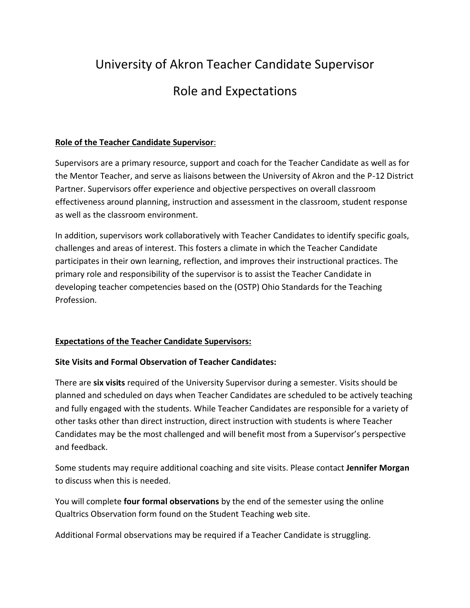# University of Akron Teacher Candidate Supervisor Role and Expectations

## **Role of the Teacher Candidate Supervisor**:

Supervisors are a primary resource, support and coach for the Teacher Candidate as well as for the Mentor Teacher, and serve as liaisons between the University of Akron and the P-12 District Partner. Supervisors offer experience and objective perspectives on overall classroom effectiveness around planning, instruction and assessment in the classroom, student response as well as the classroom environment.

In addition, supervisors work collaboratively with Teacher Candidates to identify specific goals, challenges and areas of interest. This fosters a climate in which the Teacher Candidate participates in their own learning, reflection, and improves their instructional practices. The primary role and responsibility of the supervisor is to assist the Teacher Candidate in developing teacher competencies based on the (OSTP) Ohio Standards for the Teaching Profession.

## **Expectations of the Teacher Candidate Supervisors:**

## **Site Visits and Formal Observation of Teacher Candidates:**

There are **six visits** required of the University Supervisor during a semester. Visits should be planned and scheduled on days when Teacher Candidates are scheduled to be actively teaching and fully engaged with the students. While Teacher Candidates are responsible for a variety of other tasks other than direct instruction, direct instruction with students is where Teacher Candidates may be the most challenged and will benefit most from a Supervisor's perspective and feedback.

Some students may require additional coaching and site visits. Please contact **Jennifer Morgan** to discuss when this is needed.

You will complete **four formal observations** by the end of the semester using the online Qualtrics Observation form found on the Student Teaching web site.

Additional Formal observations may be required if a Teacher Candidate is struggling.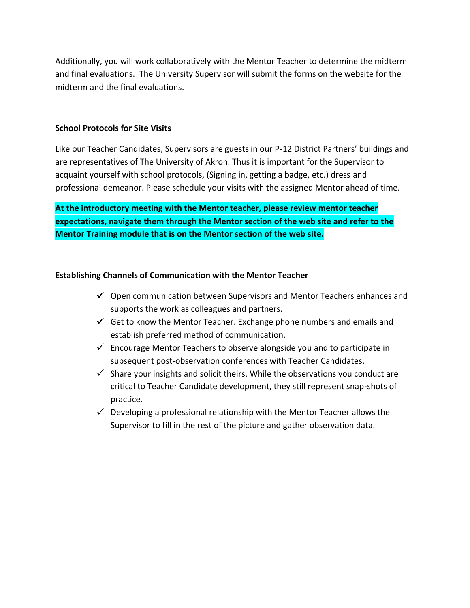Additionally, you will work collaboratively with the Mentor Teacher to determine the midterm and final evaluations. The University Supervisor will submit the forms on the website for the midterm and the final evaluations.

#### **School Protocols for Site Visits**

Like our Teacher Candidates, Supervisors are guests in our P-12 District Partners' buildings and are representatives of The University of Akron. Thus it is important for the Supervisor to acquaint yourself with school protocols, (Signing in, getting a badge, etc.) dress and professional demeanor. Please schedule your visits with the assigned Mentor ahead of time.

**At the introductory meeting with the Mentor teacher, please review mentor teacher expectations, navigate them through the Mentor section of the web site and refer to the Mentor Training module that is on the Mentor section of the web site.**

#### **Establishing Channels of Communication with the Mentor Teacher**

- $\checkmark$  Open communication between Supervisors and Mentor Teachers enhances and supports the work as colleagues and partners.
- $\checkmark$  Get to know the Mentor Teacher. Exchange phone numbers and emails and establish preferred method of communication.
- $\checkmark$  Encourage Mentor Teachers to observe alongside you and to participate in subsequent post-observation conferences with Teacher Candidates.
- $\checkmark$  Share your insights and solicit theirs. While the observations you conduct are critical to Teacher Candidate development, they still represent snap-shots of practice.
- $\checkmark$  Developing a professional relationship with the Mentor Teacher allows the Supervisor to fill in the rest of the picture and gather observation data.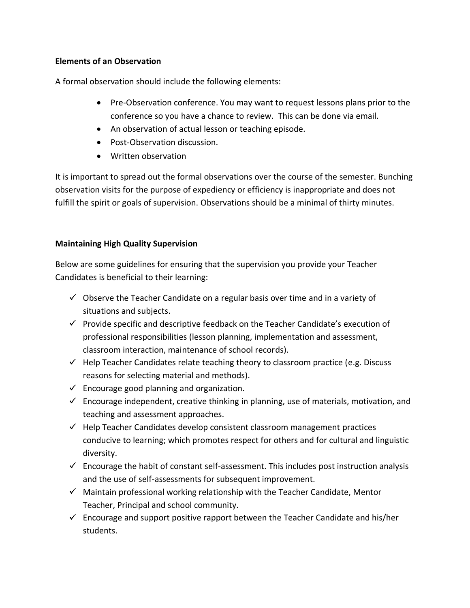## **Elements of an Observation**

A formal observation should include the following elements:

- Pre-Observation conference. You may want to request lessons plans prior to the conference so you have a chance to review. This can be done via email.
- An observation of actual lesson or teaching episode.
- Post-Observation discussion.
- Written observation

It is important to spread out the formal observations over the course of the semester. Bunching observation visits for the purpose of expediency or efficiency is inappropriate and does not fulfill the spirit or goals of supervision. Observations should be a minimal of thirty minutes.

# **Maintaining High Quality Supervision**

Below are some guidelines for ensuring that the supervision you provide your Teacher Candidates is beneficial to their learning:

- $\checkmark$  Observe the Teacher Candidate on a regular basis over time and in a variety of situations and subjects.
- $\checkmark$  Provide specific and descriptive feedback on the Teacher Candidate's execution of professional responsibilities (lesson planning, implementation and assessment, classroom interaction, maintenance of school records).
- $\checkmark$  Help Teacher Candidates relate teaching theory to classroom practice (e.g. Discuss reasons for selecting material and methods).
- $\checkmark$  Encourage good planning and organization.
- $\checkmark$  Encourage independent, creative thinking in planning, use of materials, motivation, and teaching and assessment approaches.
- $\checkmark$  Help Teacher Candidates develop consistent classroom management practices conducive to learning; which promotes respect for others and for cultural and linguistic diversity.
- $\checkmark$  Encourage the habit of constant self-assessment. This includes post instruction analysis and the use of self-assessments for subsequent improvement.
- $\checkmark$  Maintain professional working relationship with the Teacher Candidate, Mentor Teacher, Principal and school community.
- $\checkmark$  Encourage and support positive rapport between the Teacher Candidate and his/her students.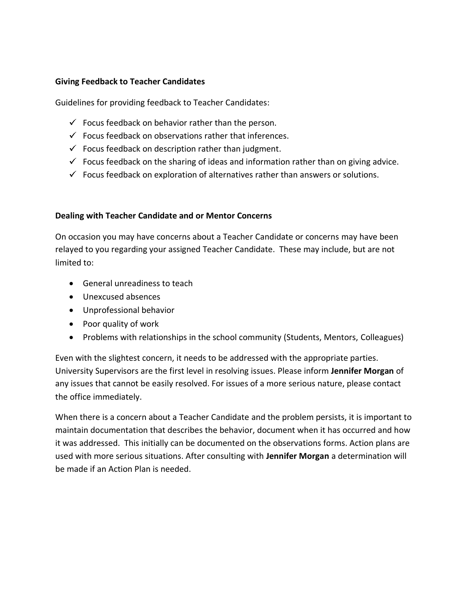#### **Giving Feedback to Teacher Candidates**

Guidelines for providing feedback to Teacher Candidates:

- $\checkmark$  Focus feedback on behavior rather than the person.
- $\checkmark$  Focus feedback on observations rather that inferences.
- $\checkmark$  Focus feedback on description rather than judgment.
- $\checkmark$  Focus feedback on the sharing of ideas and information rather than on giving advice.
- $\checkmark$  Focus feedback on exploration of alternatives rather than answers or solutions.

#### **Dealing with Teacher Candidate and or Mentor Concerns**

On occasion you may have concerns about a Teacher Candidate or concerns may have been relayed to you regarding your assigned Teacher Candidate. These may include, but are not limited to:

- General unreadiness to teach
- Unexcused absences
- Unprofessional behavior
- Poor quality of work
- Problems with relationships in the school community (Students, Mentors, Colleagues)

Even with the slightest concern, it needs to be addressed with the appropriate parties. University Supervisors are the first level in resolving issues. Please inform **Jennifer Morgan** of any issues that cannot be easily resolved. For issues of a more serious nature, please contact the office immediately.

When there is a concern about a Teacher Candidate and the problem persists, it is important to maintain documentation that describes the behavior, document when it has occurred and how it was addressed. This initially can be documented on the observations forms. Action plans are used with more serious situations. After consulting with **Jennifer Morgan** a determination will be made if an Action Plan is needed.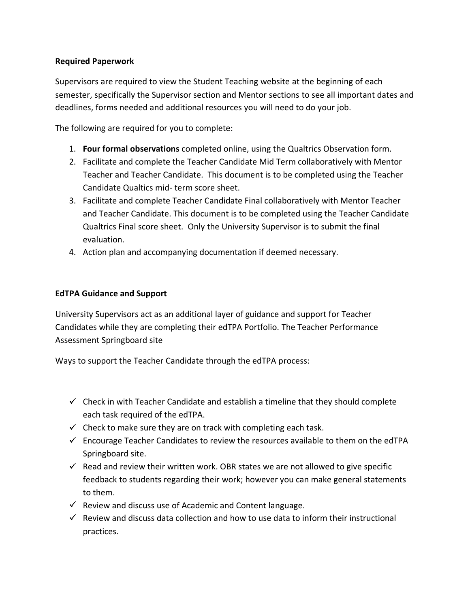## **Required Paperwork**

Supervisors are required to view the Student Teaching website at the beginning of each semester, specifically the Supervisor section and Mentor sections to see all important dates and deadlines, forms needed and additional resources you will need to do your job.

The following are required for you to complete:

- 1. **Four formal observations** completed online, using the Qualtrics Observation form.
- 2. Facilitate and complete the Teacher Candidate Mid Term collaboratively with Mentor Teacher and Teacher Candidate. This document is to be completed using the Teacher Candidate Qualtics mid- term score sheet.
- 3. Facilitate and complete Teacher Candidate Final collaboratively with Mentor Teacher and Teacher Candidate. This document is to be completed using the Teacher Candidate Qualtrics Final score sheet. Only the University Supervisor is to submit the final evaluation.
- 4. Action plan and accompanying documentation if deemed necessary.

## **EdTPA Guidance and Support**

University Supervisors act as an additional layer of guidance and support for Teacher Candidates while they are completing their edTPA Portfolio. The Teacher Performance Assessment Springboard site

Ways to support the Teacher Candidate through the edTPA process:

- $\checkmark$  Check in with Teacher Candidate and establish a timeline that they should complete each task required of the edTPA.
- $\checkmark$  Check to make sure they are on track with completing each task.
- $\checkmark$  Encourage Teacher Candidates to review the resources available to them on the edTPA Springboard site.
- $\checkmark$  Read and review their written work. OBR states we are not allowed to give specific feedback to students regarding their work; however you can make general statements to them.
- $\checkmark$  Review and discuss use of Academic and Content language.
- $\checkmark$  Review and discuss data collection and how to use data to inform their instructional practices.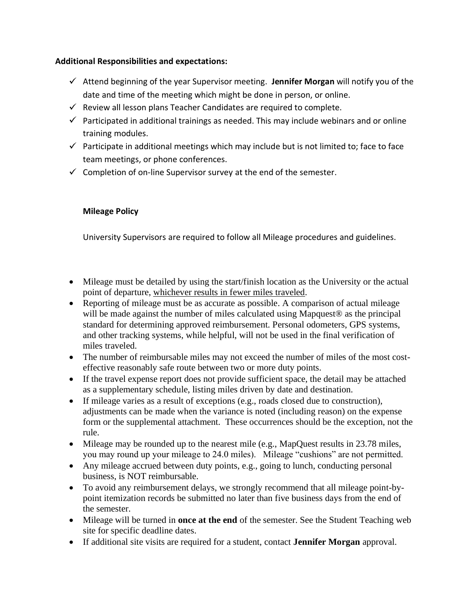#### **Additional Responsibilities and expectations:**

- Attend beginning of the year Supervisor meeting. **Jennifer Morgan** will notify you of the date and time of the meeting which might be done in person, or online.
- $\checkmark$  Review all lesson plans Teacher Candidates are required to complete.
- $\checkmark$  Participated in additional trainings as needed. This may include webinars and or online training modules.
- $\checkmark$  Participate in additional meetings which may include but is not limited to; face to face team meetings, or phone conferences.
- $\checkmark$  Completion of on-line Supervisor survey at the end of the semester.

## **Mileage Policy**

University Supervisors are required to follow all Mileage procedures and guidelines.

- Mileage must be detailed by using the start/finish location as the University or the actual point of departure, whichever results in fewer miles traveled.
- Reporting of mileage must be as accurate as possible. A comparison of actual mileage will be made against the number of miles calculated using Mapquest<sup>®</sup> as the principal standard for determining approved reimbursement. Personal odometers, GPS systems, and other tracking systems, while helpful, will not be used in the final verification of miles traveled.
- The number of reimbursable miles may not exceed the number of miles of the most costeffective reasonably safe route between two or more duty points.
- If the travel expense report does not provide sufficient space, the detail may be attached as a supplementary schedule, listing miles driven by date and destination.
- If mileage varies as a result of exceptions (e.g., roads closed due to construction), adjustments can be made when the variance is noted (including reason) on the expense form or the supplemental attachment. These occurrences should be the exception, not the rule.
- Mileage may be rounded up to the nearest mile (e.g., MapQuest results in 23.78 miles, you may round up your mileage to 24.0 miles). Mileage "cushions" are not permitted.
- Any mileage accrued between duty points, e.g., going to lunch, conducting personal business, is NOT reimbursable.
- To avoid any reimbursement delays, we strongly recommend that all mileage point-bypoint itemization records be submitted no later than five business days from the end of the semester.
- Mileage will be turned in **once at the end** of the semester. See the Student Teaching web site for specific deadline dates.
- If additional site visits are required for a student, contact **Jennifer Morgan** approval.